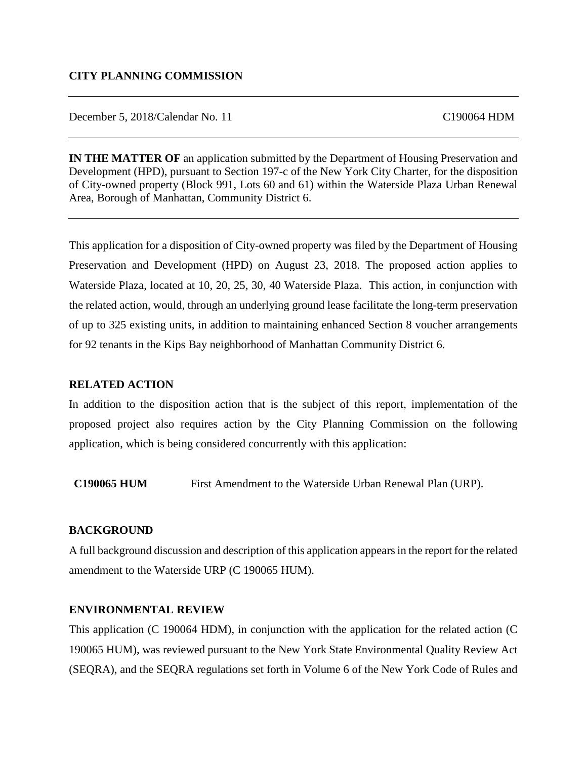December 5, 2018/Calendar No. 11 C190064 HDM

**IN THE MATTER OF** an application submitted by the Department of Housing Preservation and Development (HPD), pursuant to Section 197-c of the New York City Charter, for the disposition of City-owned property (Block 991, Lots 60 and 61) within the Waterside Plaza Urban Renewal Area, Borough of Manhattan, Community District 6.

This application for a disposition of City-owned property was filed by the Department of Housing Preservation and Development (HPD) on August 23, 2018. The proposed action applies to Waterside Plaza, located at 10, 20, 25, 30, 40 Waterside Plaza. This action, in conjunction with the related action, would, through an underlying ground lease facilitate the long-term preservation of up to 325 existing units, in addition to maintaining enhanced Section 8 voucher arrangements for 92 tenants in the Kips Bay neighborhood of Manhattan Community District 6.

#### **RELATED ACTION**

In addition to the disposition action that is the subject of this report, implementation of the proposed project also requires action by the City Planning Commission on the following application, which is being considered concurrently with this application:

**C190065 HUM** First Amendment to the Waterside Urban Renewal Plan (URP).

#### **BACKGROUND**

A full background discussion and description of this application appears in the report for the related amendment to the Waterside URP (C 190065 HUM).

#### **ENVIRONMENTAL REVIEW**

This application (C 190064 HDM), in conjunction with the application for the related action (C 190065 HUM), was reviewed pursuant to the New York State Environmental Quality Review Act (SEQRA), and the SEQRA regulations set forth in Volume 6 of the New York Code of Rules and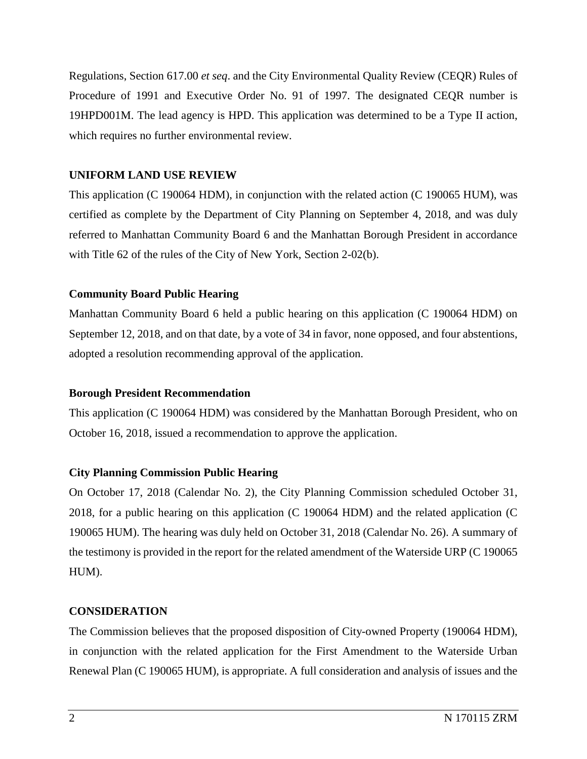Regulations, Section 617.00 *et seq*. and the City Environmental Quality Review (CEQR) Rules of Procedure of 1991 and Executive Order No. 91 of 1997. The designated CEQR number is 19HPD001M. The lead agency is HPD. This application was determined to be a Type II action, which requires no further environmental review.

#### **UNIFORM LAND USE REVIEW**

This application (C 190064 HDM), in conjunction with the related action (C 190065 HUM), was certified as complete by the Department of City Planning on September 4, 2018, and was duly referred to Manhattan Community Board 6 and the Manhattan Borough President in accordance with Title 62 of the rules of the City of New York, Section 2-02(b).

### **Community Board Public Hearing**

Manhattan Community Board 6 held a public hearing on this application (C 190064 HDM) on September 12, 2018, and on that date, by a vote of 34 in favor, none opposed, and four abstentions, adopted a resolution recommending approval of the application.

#### **Borough President Recommendation**

This application (C 190064 HDM) was considered by the Manhattan Borough President, who on October 16, 2018, issued a recommendation to approve the application.

#### **City Planning Commission Public Hearing**

On October 17, 2018 (Calendar No. 2), the City Planning Commission scheduled October 31, 2018, for a public hearing on this application (C 190064 HDM) and the related application (C 190065 HUM). The hearing was duly held on October 31, 2018 (Calendar No. 26). A summary of the testimony is provided in the report for the related amendment of the Waterside URP (C 190065 HUM).

#### **CONSIDERATION**

The Commission believes that the proposed disposition of City-owned Property (190064 HDM), in conjunction with the related application for the First Amendment to the Waterside Urban Renewal Plan (C 190065 HUM), is appropriate. A full consideration and analysis of issues and the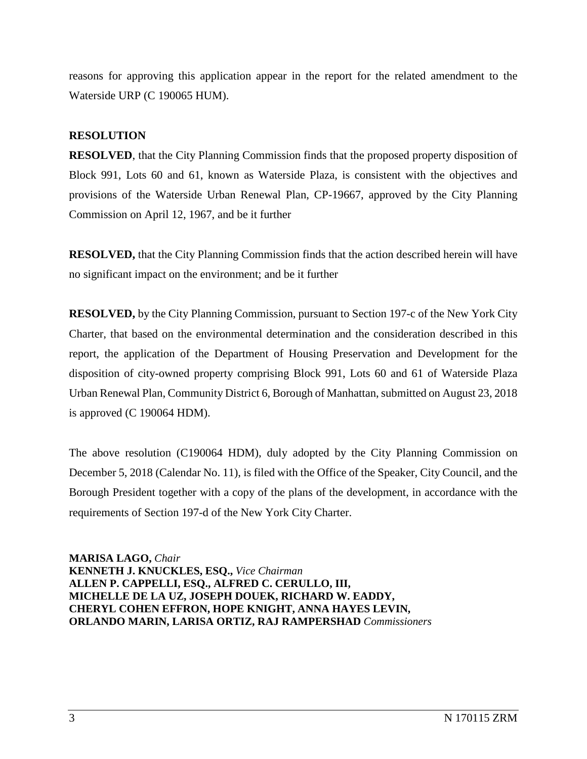reasons for approving this application appear in the report for the related amendment to the Waterside URP (C 190065 HUM).

#### **RESOLUTION**

**RESOLVED**, that the City Planning Commission finds that the proposed property disposition of Block 991, Lots 60 and 61, known as Waterside Plaza, is consistent with the objectives and provisions of the Waterside Urban Renewal Plan, CP-19667, approved by the City Planning Commission on April 12, 1967, and be it further

**RESOLVED,** that the City Planning Commission finds that the action described herein will have no significant impact on the environment; and be it further

**RESOLVED,** by the City Planning Commission, pursuant to Section 197-c of the New York City Charter, that based on the environmental determination and the consideration described in this report, the application of the Department of Housing Preservation and Development for the disposition of city-owned property comprising Block 991, Lots 60 and 61 of Waterside Plaza Urban Renewal Plan, Community District 6, Borough of Manhattan, submitted on August 23, 2018 is approved (C 190064 HDM).

The above resolution (C190064 HDM), duly adopted by the City Planning Commission on December 5, 2018 (Calendar No. 11), is filed with the Office of the Speaker, City Council, and the Borough President together with a copy of the plans of the development, in accordance with the requirements of Section 197-d of the New York City Charter.

**MARISA LAGO,** *Chair*  **KENNETH J. KNUCKLES, ESQ.,** *Vice Chairman*  **ALLEN P. CAPPELLI, ESQ., ALFRED C. CERULLO, III, MICHELLE DE LA UZ, JOSEPH DOUEK, RICHARD W. EADDY, CHERYL COHEN EFFRON, HOPE KNIGHT, ANNA HAYES LEVIN, ORLANDO MARIN, LARISA ORTIZ, RAJ RAMPERSHAD** *Commissioners*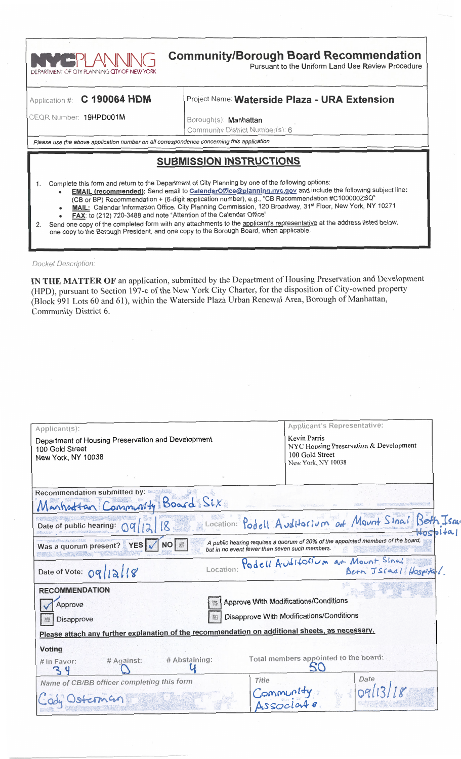

## **Community/Borough Board Recommendation**

Pursuant to the Uniform Land Use Review Procedure

### Application #: C 190064 HDM

### Project Name: Waterside Plaza - URA Extension

CEQR Number: 19HPD001M

Borough(s): Manhattan Community District Number(s): 6

Please use the above application number on all correspondence concerning this application

## **SUBMISSION INSTRUCTIONS**

- Complete this form and return to the Department of City Planning by one of the following options:
	- EMAIL (recommended): Send email to CalendarOffice@planning.nyc.gov and include the following subject line:
	- (CB or BP) Recommendation + (6-digit application number), e.g., "CB Recommendation #C100000ZSQ"<br>MAIL: Calendar Information Office, City Planning Commission, 120 Broadway, 31<sup>st</sup> Floor, New York, NY 10271
	- FAX: to (212) 720-3488 and note "Attention of the Calendar Office"
- Send one copy of the completed form with any attachments to the applicant's representative at the address listed below,  $2.$ one copy to the Borough President, and one copy to the Borough Board, when applicable.

**Docket Description:** 

 $1<sup>1</sup>$ 

IN THE MATTER OF an application, submitted by the Department of Housing Preservation and Development (HPD), pursuant to Section 197-c of the New York City Charter, for the disposition of City-owned property (Block 991 Lots 60 and 61), within the Waterside Plaza Urban Renewal Area, Borough of Manhattan, Community District 6.

| Applicant(s):                                                                                   |                                                                                                                                    | Applicant's Representative:                                                                            |                                                      |  |
|-------------------------------------------------------------------------------------------------|------------------------------------------------------------------------------------------------------------------------------------|--------------------------------------------------------------------------------------------------------|------------------------------------------------------|--|
| Department of Housing Preservation and Development<br>100 Gold Street<br>New York, NY 10038     |                                                                                                                                    | <b>Kevin Parris</b><br>NYC Housing Preservation & Development<br>100 Gold Street<br>New York, NY 10038 |                                                      |  |
|                                                                                                 |                                                                                                                                    |                                                                                                        |                                                      |  |
| Recommendation submitted by:<br>Manhattan Community Board Six                                   |                                                                                                                                    |                                                                                                        |                                                      |  |
| Date of public hearing: 09                                                                      |                                                                                                                                    |                                                                                                        | Location: Podell Auditorium at Mount Sinal Beth Isra |  |
| Was a quorum present? YES<br>NO <b>I</b>                                                        | A public hearing requires a quorum of 20% of the appointed members of the board,<br>but in no event fewer than seven such members. |                                                                                                        |                                                      |  |
| Date of Vote: 09/12/18                                                                          | Location:                                                                                                                          | Podell Auditorium at Mount Sinal                                                                       | Beth Israel Hospital.                                |  |
| <b>RECOMMENDATION</b>                                                                           |                                                                                                                                    |                                                                                                        |                                                      |  |
| Approve With Modifications/Conditions<br>Approve                                                |                                                                                                                                    |                                                                                                        |                                                      |  |
| Disapprove                                                                                      |                                                                                                                                    | Disapprove With Modifications/Conditions                                                               |                                                      |  |
| Please attach any further explanation of the recommendation on additional sheets, as necessary. |                                                                                                                                    |                                                                                                        |                                                      |  |
| <b>Voting</b>                                                                                   |                                                                                                                                    |                                                                                                        |                                                      |  |
| # Abstaining:<br># Against:<br># In Favor:<br>るし                                                |                                                                                                                                    | Total members appointed to the board:<br>SO                                                            |                                                      |  |
| Name of CB/BB officer completing this form                                                      | Title                                                                                                                              |                                                                                                        | Date                                                 |  |
| Jody Wisterman                                                                                  | Community<br>Associate                                                                                                             |                                                                                                        | q(13)/g                                              |  |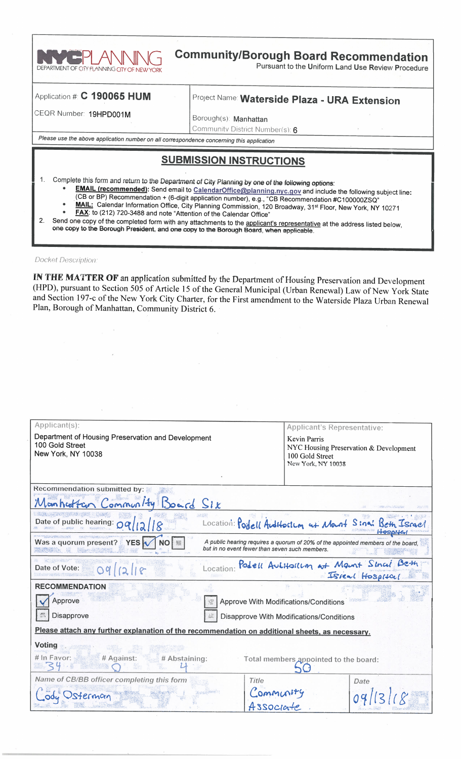

# **Community/Borough Board Recommendation**

Pursuant to the Uniform Land Use Review Procedure

#### Application #:  $C$  190065 HUM

## Project Name: Waterside Plaza - URA Extension

CEQR Number: 19HPD001M

Borough(s): Manhattan

Community District Number(s): 6

Please use the above application number on all correspondence concerning this application

## **SUBMISSION INSTRUCTIONS**

- Complete this form and return to the Department of City Planning by one of the following options:
	- EMAIL (recommended): Send email to CalendarOffice@planning.nyc.gov and include the following subject line:
	- (CB or BP) Recommendation + (6-digit application number), e.g., "CB Recommendation #C100000ZSQ"<br>
	MAIL: Calendar Information Office, City Planning Commission, 120 Broadway, 31<sup>st</sup> Floor, New York, NY 10271
	- FAX: to (212) 720-3488 and note "Attention of the Calendar Office"

Send one copy of the completed form with any attachments to the applicant's representative at the address listed below,  $2.$ one copy to the Borough President, and one copy to the Borough Board, when applicable.

**Docket Description:** 

1.

IN THE MATTER OF an application submitted by the Department of Housing Preservation and Development (HPD), pursuant to Section 505 of Article 15 of the General Municipal (Urban Renewal) Law of New York State and Section 197-c of the New York City Charter, for the First amendment to the Waterside Plaza Urban Renewal Plan, Borough of Manhattan, Community District 6.

| Applicant(s):                                                                                                                                                                  | Applicant's Representative:                                                                     |  |  |
|--------------------------------------------------------------------------------------------------------------------------------------------------------------------------------|-------------------------------------------------------------------------------------------------|--|--|
| Department of Housing Preservation and Development<br>100 Gold Street<br>New York, NY 10038                                                                                    | Kevin Parris<br>NYC Housing Preservation & Development<br>100 Gold Street<br>New York, NY 10038 |  |  |
| <b>Recommendation submitted by:</b>                                                                                                                                            |                                                                                                 |  |  |
| Manhattan Community Board Six                                                                                                                                                  |                                                                                                 |  |  |
| Date of public hearing: OQ                                                                                                                                                     | Location: Podell Auditorium at Mount Sinai Beth Israel                                          |  |  |
| Was a quorum present? YES<br>NO <b>3</b><br>A public hearing requires a quorum of 20% of the appointed members of the board,<br>but in no event fewer than seven such members. |                                                                                                 |  |  |
| Location:<br>Date of Vote:<br>O <sub>q</sub>                                                                                                                                   | Podell Autifolium at Mant Sinci Beth                                                            |  |  |
| <b>RECOMMENDATION</b>                                                                                                                                                          |                                                                                                 |  |  |
| Approve                                                                                                                                                                        | <b>Approve With Modifications/Conditions</b>                                                    |  |  |
| Disapprove<br>Disapprove With Modifications/Conditions                                                                                                                         |                                                                                                 |  |  |
| Please attach any further explanation of the recommendation on additional sheets, as necessary.                                                                                |                                                                                                 |  |  |
| <b>Voting</b><br># In Favor:<br># Against:<br># Abstaining:<br>Total members appointed to the board:                                                                           |                                                                                                 |  |  |
| Name of CB/BB officer completing this form<br>Title                                                                                                                            | Date                                                                                            |  |  |
| Community<br>Osterman<br>4ssocint                                                                                                                                              |                                                                                                 |  |  |